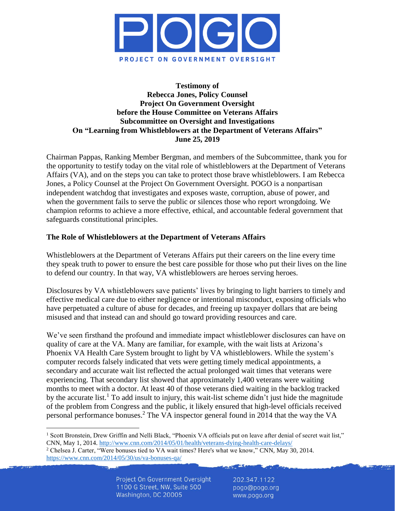

### **Testimony of Rebecca Jones, Policy Counsel Project On Government Oversight before the House Committee on Veterans Affairs Subcommittee on Oversight and Investigations On "Learning from Whistleblowers at the Department of Veterans Affairs" June 25, 2019**

Chairman Pappas, Ranking Member Bergman, and members of the Subcommittee, thank you for the opportunity to testify today on the vital role of whistleblowers at the Department of Veterans Affairs (VA), and on the steps you can take to protect those brave whistleblowers. I am Rebecca Jones, a Policy Counsel at the Project On Government Oversight. POGO is a nonpartisan independent watchdog that investigates and exposes waste, corruption, abuse of power, and when the government fails to serve the public or silences those who report wrongdoing. We champion reforms to achieve a more effective, ethical, and accountable federal government that safeguards constitutional principles.

### **The Role of Whistleblowers at the Department of Veterans Affairs**

Whistleblowers at the Department of Veterans Affairs put their careers on the line every time they speak truth to power to ensure the best care possible for those who put their lives on the line to defend our country. In that way, VA whistleblowers are heroes serving heroes.

Disclosures by VA whistleblowers save patients' lives by bringing to light barriers to timely and effective medical care due to either negligence or intentional misconduct, exposing officials who have perpetuated a culture of abuse for decades, and freeing up taxpayer dollars that are being misused and that instead can and should go toward providing resources and care.

We've seen firsthand the profound and immediate impact whistleblower disclosures can have on quality of care at the VA. Many are familiar, for example, with the wait lists at Arizona's Phoenix VA Health Care System brought to light by VA whistleblowers. While the system's computer records falsely indicated that vets were getting timely medical appointments, a secondary and accurate wait list reflected the actual prolonged wait times that veterans were experiencing. That secondary list showed that approximately 1,400 veterans were waiting months to meet with a doctor. At least 40 of those veterans died waiting in the backlog tracked by the accurate list.<sup>1</sup> To add insult to injury, this wait-list scheme didn't just hide the magnitude of the problem from Congress and the public, it likely ensured that high-level officials received personal performance bonuses. <sup>2</sup> The VA inspector general found in 2014 that the way the VA

<sup>&</sup>lt;sup>1</sup> Scott Bronstein, Drew Griffin and Nelli Black, "Phoenix VA officials put on leave after denial of secret wait list," CNN, May 1, 2014.<http://www.cnn.com/2014/05/01/health/veterans-dying-health-care-delays/>

<sup>2</sup> Chelsea J. Carter, "Were bonuses tied to VA wait times? Here's what we know," CNN*,* May 30, 2014. <https://www.cnn.com/2014/05/30/us/va-bonuses-qa/>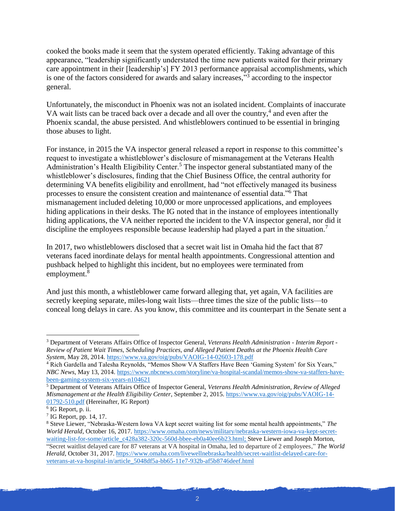cooked the books made it seem that the system operated efficiently. Taking advantage of this appearance, "leadership significantly understated the time new patients waited for their primary care appointment in their [leadership's] FY 2013 performance appraisal accomplishments, which is one of the factors considered for awards and salary increases,"<sup>3</sup> according to the inspector general.

Unfortunately, the misconduct in Phoenix was not an isolated incident. Complaints of inaccurate VA wait lists can be traced back over a decade and all over the country,<sup>4</sup> and even after the Phoenix scandal, the abuse persisted. And whistleblowers continued to be essential in bringing those abuses to light.

For instance, in 2015 the VA inspector general released a report in response to this committee's request to investigate a whistleblower's disclosure of mismanagement at the Veterans Health Administration's Health Eligibility Center.<sup>5</sup> The inspector general substantiated many of the whistleblower's disclosures, finding that the Chief Business Office, the central authority for determining VA benefits eligibility and enrollment, had "not effectively managed its business processes to ensure the consistent creation and maintenance of essential data."<sup>6</sup> That mismanagement included deleting 10,000 or more unprocessed applications, and employees hiding applications in their desks. The IG noted that in the instance of employees intentionally hiding applications, the VA neither reported the incident to the VA inspector general, nor did it discipline the employees responsible because leadership had played a part in the situation.<sup>7</sup>

In 2017, two whistleblowers disclosed that a secret wait list in Omaha hid the fact that 87 veterans faced inordinate delays for mental health appointments. Congressional attention and pushback helped to highlight this incident, but no employees were terminated from employment.<sup>8</sup>

And just this month, a whistleblower came forward alleging that, yet again, VA facilities are secretly keeping separate, miles-long wait lists—three times the size of the public lists—to conceal long delays in care. As you know, this committee and its counterpart in the Senate sent a

<sup>3</sup> Department of Veterans Affairs Office of Inspector General, *Veterans Health Administration - Interim Report - Review of Patient Wait Times, Scheduling Practices, and Alleged Patient Deaths at the Phoenix Health Care System*, May 28, 2014[. https://www.va.gov/oig/pubs/VAOIG-14-02603-178.pdf](https://www.va.gov/oig/pubs/VAOIG-14-02603-178.pdf)

<sup>&</sup>lt;sup>4</sup> Rich Gardella and Talesha Reynolds, "Memos Show VA Staffers Have Been 'Gaming System' for Six Years," *NBC News*, May 13, 2014. [https://www.nbcnews.com/storyline/va-hospital-scandal/memos-show-va-staffers-have](https://www.nbcnews.com/storyline/va-hospital-scandal/memos-show-va-staffers-have-been-gaming-system-six-years-n104621)[been-gaming-system-six-years-n104621](https://www.nbcnews.com/storyline/va-hospital-scandal/memos-show-va-staffers-have-been-gaming-system-six-years-n104621)

<sup>5</sup> Department of Veterans Affairs Office of Inspector General, *Veterans Health Administration, Review of Alleged Mismanagement at the Health Eligibility Center*, September 2, 2015. [https://www.va.gov/oig/pubs/VAOIG-14-](https://www.va.gov/oig/pubs/VAOIG-14-01792-510.pdf) [01792-510.pdf](https://www.va.gov/oig/pubs/VAOIG-14-01792-510.pdf) (Hereinafter, IG Report)

<sup>6</sup> IG Report, p. ii.

 $<sup>7</sup>$  IG Report, pp. 14, 17.</sup>

<sup>8</sup> Steve Liewer, "Nebraska-Western Iowa VA kept secret waiting list for some mental health appointments," *The World Herald*, October 16, 2017[. https://www.omaha.com/news/military/nebraska-western-iowa-va-kept-secret](https://www.omaha.com/news/military/nebraska-western-iowa-va-kept-secret-waiting-list-for-some/article_c428a382-320c-560d-bbee-eb0a40ee6b23.html)[waiting-list-for-some/article\\_c428a382-320c-560d-bbee-eb0a40ee6b23.html;](https://www.omaha.com/news/military/nebraska-western-iowa-va-kept-secret-waiting-list-for-some/article_c428a382-320c-560d-bbee-eb0a40ee6b23.html) Steve Liewer and Joseph Morton, "Secret waitlist delayed care for 87 veterans at VA hospital in Omaha, led to departure of 2 employees," *The World Herald*, October 31, 2017. [https://www.omaha.com/livewellnebraska/health/secret-waitlist-delayed-care-for](https://www.omaha.com/livewellnebraska/health/secret-waitlist-delayed-care-for-veterans-at-va-hospital-in/article_5048df5a-bb65-11e7-932b-af5b8746deef.html)[veterans-at-va-hospital-in/article\\_5048df5a-bb65-11e7-932b-af5b8746deef.html](https://www.omaha.com/livewellnebraska/health/secret-waitlist-delayed-care-for-veterans-at-va-hospital-in/article_5048df5a-bb65-11e7-932b-af5b8746deef.html)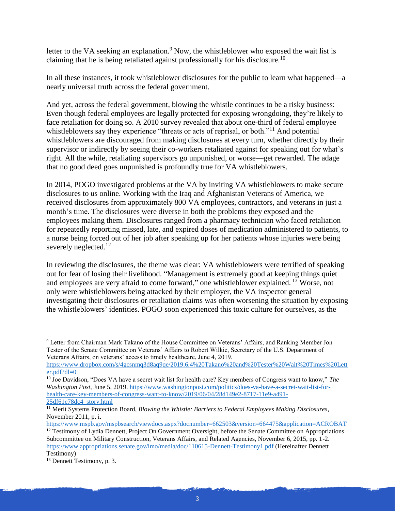letter to the VA seeking an explanation.<sup>9</sup> Now, the whistleblower who exposed the wait list is claiming that he is being retaliated against professionally for his disclosure.<sup>10</sup>

In all these instances, it took whistleblower disclosures for the public to learn what happened—a nearly universal truth across the federal government.

And yet, across the federal government, blowing the whistle continues to be a risky business: Even though federal employees are legally protected for exposing wrongdoing, they're likely to face retaliation for doing so. A 2010 survey revealed that about one-third of federal employee whistleblowers say they experience "threats or acts of reprisal, or both."<sup>11</sup> And potential whistleblowers are discouraged from making disclosures at every turn, whether directly by their supervisor or indirectly by seeing their co-workers retaliated against for speaking out for what's right. All the while, retaliating supervisors go unpunished, or worse—get rewarded. The adage that no good deed goes unpunished is profoundly true for VA whistleblowers.

In 2014, POGO investigated problems at the VA by inviting VA whistleblowers to make secure disclosures to us online. Working with the Iraq and Afghanistan Veterans of America, we received disclosures from approximately 800 VA employees, contractors, and veterans in just a month's time. The disclosures were diverse in both the problems they exposed and the employees making them. Disclosures ranged from a pharmacy technician who faced retaliation for repeatedly reporting missed, late, and expired doses of medication administered to patients, to a nurse being forced out of her job after speaking up for her patients whose injuries were being severely neglected.<sup>12</sup>

In reviewing the disclosures, the theme was clear: VA whistleblowers were terrified of speaking out for fear of losing their livelihood. "Management is extremely good at keeping things quiet and employees are very afraid to come forward," one whistleblower explained. <sup>13</sup> Worse, not only were whistleblowers being attacked by their employer, the VA inspector general investigating their disclosures or retaliation claims was often worsening the situation by exposing the whistleblowers' identities. POGO soon experienced this toxic culture for ourselves, as the

<sup>9</sup> Letter from Chairman Mark Takano of the House Committee on Veterans' Affairs, and Ranking Member Jon Tester of the Senate Committee on Veterans' Affairs to Robert Wilkie, Secretary of the U.S. Department of Veterans Affairs, on veterans' access to timely healthcare, June 4, 2019.

[https://www.dropbox.com/s/4gcsnmq3d8aq9qe/2019.6.4%20Takano%20and%20Tester%20Wait%20Times%20Lett](https://www.dropbox.com/s/4gcsnmq3d8aq9qe/2019.6.4%20Takano%20and%20Tester%20Wait%20Times%20Letter.pdf?dl=0) [er.pdf?dl=0](https://www.dropbox.com/s/4gcsnmq3d8aq9qe/2019.6.4%20Takano%20and%20Tester%20Wait%20Times%20Letter.pdf?dl=0)

<sup>10</sup> Joe Davidson, "Does VA have a secret wait list for health care? Key members of Congress want to know," *The Washington Post*, June 5, 2019. [https://www.washingtonpost.com/politics/does-va-have-a-secret-wait-list-for](https://www.washingtonpost.com/politics/does-va-have-a-secret-wait-list-for-health-care-key-members-of-congress-want-to-know/2019/06/04/28d149e2-8717-11e9-a491-25df61c78dc4_story.html)[health-care-key-members-of-congress-want-to-know/2019/06/04/28d149e2-8717-11e9-a491-](https://www.washingtonpost.com/politics/does-va-have-a-secret-wait-list-for-health-care-key-members-of-congress-want-to-know/2019/06/04/28d149e2-8717-11e9-a491-25df61c78dc4_story.html) [25df61c78dc4\\_story.html](https://www.washingtonpost.com/politics/does-va-have-a-secret-wait-list-for-health-care-key-members-of-congress-want-to-know/2019/06/04/28d149e2-8717-11e9-a491-25df61c78dc4_story.html)

<sup>11</sup> Merit Systems Protection Board, *Blowing the Whistle: Barriers to Federal Employees Making Disclosures*, November 2011, p. i.

<https://www.mspb.gov/mspbsearch/viewdocs.aspx?docnumber=662503&version=664475&application=ACROBAT> <sup>12</sup> Testimony of Lydia Dennett, Project On Government Oversight, before the Senate Committee on Appropriations Subcommittee on Military Construction, Veterans Affairs, and Related Agencies, November 6, 2015, pp. 1-2. <https://www.appropriations.senate.gov/imo/media/doc/110615-Dennett-Testimony1.pdf> (Hereinafter Dennett Testimony)

<sup>13</sup> Dennett Testimony, p. 3.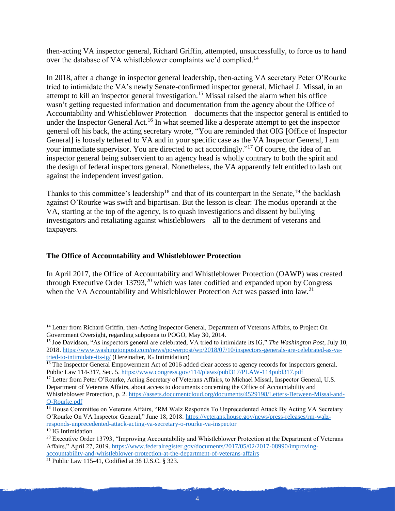then-acting VA inspector general, Richard Griffin, attempted, unsuccessfully, to force us to hand over the database of VA whistleblower complaints we'd complied.<sup>14</sup>

In 2018, after a change in inspector general leadership, then-acting VA secretary Peter O'Rourke tried to intimidate the VA's newly Senate-confirmed inspector general, Michael J. Missal, in an attempt to kill an inspector general investigation.<sup>15</sup> Missal raised the alarm when his office wasn't getting requested information and documentation from the agency about the Office of Accountability and Whistleblower Protection—documents that the inspector general is entitled to under the Inspector General Act.<sup>16</sup> In what seemed like a desperate attempt to get the inspector general off his back, the acting secretary wrote, "You are reminded that OIG [Office of Inspector General] is loosely tethered to VA and in your specific case as the VA Inspector General, I am your immediate supervisor. You are directed to act accordingly."<sup>17</sup> Of course, the idea of an inspector general being subservient to an agency head is wholly contrary to both the spirit and the design of federal inspectors general. Nonetheless, the VA apparently felt entitled to lash out against the independent investigation.

Thanks to this committee's leadership<sup>18</sup> and that of its counterpart in the Senate, <sup>19</sup> the backlash against O'Rourke was swift and bipartisan. But the lesson is clear: The modus operandi at the VA, starting at the top of the agency, is to quash investigations and dissent by bullying investigators and retaliating against whistleblowers—all to the detriment of veterans and taxpayers.

# **The Office of Accountability and Whistleblower Protection**

In April 2017, the Office of Accountability and Whistleblower Protection (OAWP) was created through Executive Order  $13793$ <sup>20</sup> which was later codified and expanded upon by Congress when the VA Accountability and Whistleblower Protection Act was passed into law.<sup>21</sup>

<sup>&</sup>lt;sup>14</sup> Letter from Richard Griffin, then-Acting Inspector General, Department of Veterans Affairs, to Project On Government Oversight, regarding subpoena to POGO, May 30, 2014.

<sup>15</sup> Joe Davidson, "As inspectors general are celebrated, VA tried to intimidate its IG," *The Washington Post*, July 10, 2018. [https://www.washingtonpost.com/news/powerpost/wp/2018/07/10/inspectors-generals-are-celebrated-as-va](https://www.washingtonpost.com/news/powerpost/wp/2018/07/10/inspectors-generals-are-celebrated-as-va-tried-to-intimidate-its-ig/)[tried-to-intimidate-its-ig/](https://www.washingtonpost.com/news/powerpost/wp/2018/07/10/inspectors-generals-are-celebrated-as-va-tried-to-intimidate-its-ig/) (Hereinafter, IG Intimidation)

<sup>&</sup>lt;sup>16</sup> The Inspector General Empowerment Act of 2016 added clear access to agency records for inspectors general. Public Law 114-317, Sec. 5.<https://www.congress.gov/114/plaws/publ317/PLAW-114publ317.pdf>

<sup>&</sup>lt;sup>17</sup> Letter from Peter O'Rourke, Acting Secretary of Veterans Affairs, to Michael Missal, Inspector General, U.S. Department of Veterans Affairs, about access to documents concerning the Office of Accountability and Whistleblower Protection, p. 2. [https://assets.documentcloud.org/documents/4529198/Letters-Between-Missal-and-](https://assets.documentcloud.org/documents/4529198/Letters-Between-Missal-and-O-Rourke.pdf)[O-Rourke.pdf](https://assets.documentcloud.org/documents/4529198/Letters-Between-Missal-and-O-Rourke.pdf)

<sup>&</sup>lt;sup>18</sup> House Committee on Veterans Affairs, "RM Walz Responds To Unprecedented Attack By Acting VA Secretary O'Rourke On VA Inspector General," June 18, 2018. [https://veterans.house.gov/news/press-releases/rm-walz](https://veterans.house.gov/news/press-releases/rm-walz-responds-unprecedented-attack-acting-va-secretary-o-rourke-va-inspector)[responds-unprecedented-attack-acting-va-secretary-o-rourke-va-inspector](https://veterans.house.gov/news/press-releases/rm-walz-responds-unprecedented-attack-acting-va-secretary-o-rourke-va-inspector)

<sup>&</sup>lt;sup>19</sup> IG Intimidation

<sup>&</sup>lt;sup>20</sup> Executive Order 13793, "Improving Accountability and Whistleblower Protection at the Department of Veterans Affairs," April 27, 2019. [https://www.federalregister.gov/documents/2017/05/02/2017-08990/improving](https://www.federalregister.gov/documents/2017/05/02/2017-08990/improving-accountability-and-whistleblower-protection-at-the-department-of-veterans-affairs)[accountability-and-whistleblower-protection-at-the-department-of-veterans-affairs](https://www.federalregister.gov/documents/2017/05/02/2017-08990/improving-accountability-and-whistleblower-protection-at-the-department-of-veterans-affairs)

<sup>21</sup> Public Law 115-41, Codified at 38 U.S.C. § 323.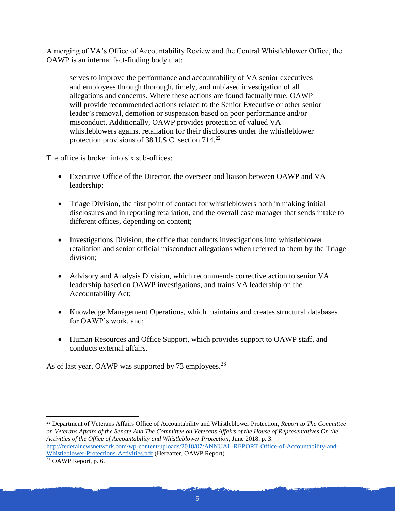A merging of VA's Office of Accountability Review and the Central Whistleblower Office, the OAWP is an internal fact-finding body that:

serves to improve the performance and accountability of VA senior executives and employees through thorough, timely, and unbiased investigation of all allegations and concerns. Where these actions are found factually true, OAWP will provide recommended actions related to the Senior Executive or other senior leader's removal, demotion or suspension based on poor performance and/or misconduct. Additionally, OAWP provides protection of valued VA whistleblowers against retaliation for their disclosures under the whistleblower protection provisions of 38 U.S.C. section  $714.<sup>22</sup>$ 

The office is broken into six sub-offices:

- Executive Office of the Director, the overseer and liaison between OAWP and VA leadership;
- Triage Division, the first point of contact for whistleblowers both in making initial disclosures and in reporting retaliation, and the overall case manager that sends intake to different offices, depending on content;
- Investigations Division, the office that conducts investigations into whistleblower retaliation and senior official misconduct allegations when referred to them by the Triage division;
- Advisory and Analysis Division, which recommends corrective action to senior VA leadership based on OAWP investigations, and trains VA leadership on the Accountability Act;
- Knowledge Management Operations, which maintains and creates structural databases for OAWP's work, and;
- Human Resources and Office Support, which provides support to OAWP staff, and conducts external affairs.

As of last year, OAWP was supported by 73 employees.<sup>23</sup>

<sup>22</sup> Department of Veterans Affairs Office of Accountability and Whistleblower Protection, *Report to The Committee on Veterans Affairs of the Senate And The Committee on Veterans Affairs of the House of Representatives On the Activities of the Office of Accountability and Whistleblower Protection*, June 2018, p. 3. [http://federalnewsnetwork.com/wp-content/uploads/2018/07/ANNUAL-REPORT-Office-of-Accountability-and-](http://federalnewsnetwork.com/wp-content/uploads/2018/07/ANNUAL-REPORT-Office-of-Accountability-and-Whistleblower-Protections-Activities.pdf)[Whistleblower-Protections-Activities.pdf](http://federalnewsnetwork.com/wp-content/uploads/2018/07/ANNUAL-REPORT-Office-of-Accountability-and-Whistleblower-Protections-Activities.pdf) (Hereafter, OAWP Report)

<sup>23</sup> OAWP Report, p. 6.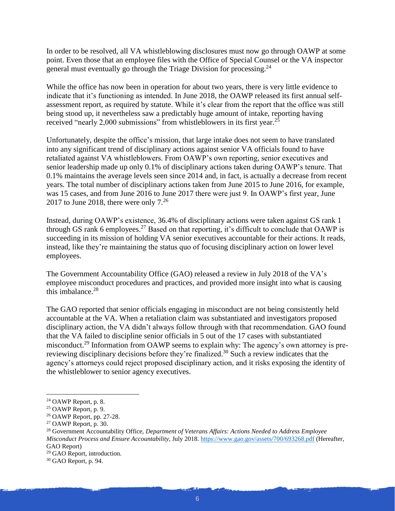In order to be resolved, all VA whistleblowing disclosures must now go through OAWP at some point. Even those that an employee files with the Office of Special Counsel or the VA inspector general must eventually go through the Triage Division for processing.<sup>24</sup>

While the office has now been in operation for about two years, there is very little evidence to indicate that it's functioning as intended. In June 2018, the OAWP released its first annual selfassessment report, as required by statute. While it's clear from the report that the office was still being stood up, it nevertheless saw a predictably huge amount of intake, reporting having received "nearly 2,000 submissions" from whistleblowers in its first year.<sup>25</sup>

Unfortunately, despite the office's mission, that large intake does not seem to have translated into any significant trend of disciplinary actions against senior VA officials found to have retaliated against VA whistleblowers. From OAWP's own reporting, senior executives and senior leadership made up only 0.1% of disciplinary actions taken during OAWP's tenure. That 0.1% maintains the average levels seen since 2014 and, in fact, is actually a decrease from recent years. The total number of disciplinary actions taken from June 2015 to June 2016, for example, was 15 cases, and from June 2016 to June 2017 there were just 9. In OAWP's first year, June 2017 to June 2018, there were only  $7<sup>26</sup>$ 

Instead, during OAWP's existence, 36.4% of disciplinary actions were taken against GS rank 1 through GS rank 6 employees.<sup>27</sup> Based on that reporting, it's difficult to conclude that OAWP is succeeding in its mission of holding VA senior executives accountable for their actions. It reads, instead, like they're maintaining the status quo of focusing disciplinary action on lower level employees.

The Government Accountability Office (GAO) released a review in July 2018 of the VA's employee misconduct procedures and practices, and provided more insight into what is causing this imbalance.<sup>28</sup>

The GAO reported that senior officials engaging in misconduct are not being consistently held accountable at the VA. When a retaliation claim was substantiated and investigators proposed disciplinary action, the VA didn't always follow through with that recommendation. GAO found that the VA failed to discipline senior officials in 5 out of the 17 cases with substantiated misconduct.<sup>29</sup> Information from OAWP seems to explain why: The agency's own attorney is prereviewing disciplinary decisions before they're finalized.<sup>30</sup> Such a review indicates that the agency's attorneys could reject proposed disciplinary action, and it risks exposing the identity of the whistleblower to senior agency executives.

<sup>24</sup> OAWP Report, p. 8.

<sup>25</sup> OAWP Report, p. 9.

<sup>26</sup> OAWP Report, pp. 27-28.

<sup>27</sup> OAWP Report, p. 30.

<sup>28</sup> Government Accountability Office, *Department of Veterans Affairs: Actions Needed to Address Employee Misconduct Process and Ensure Accountability*, July 2018.<https://www.gao.gov/assets/700/693268.pdf> (Hereafter, GAO Report)

<sup>29</sup> GAO Report, introduction.

<sup>30</sup> GAO Report, p. 94.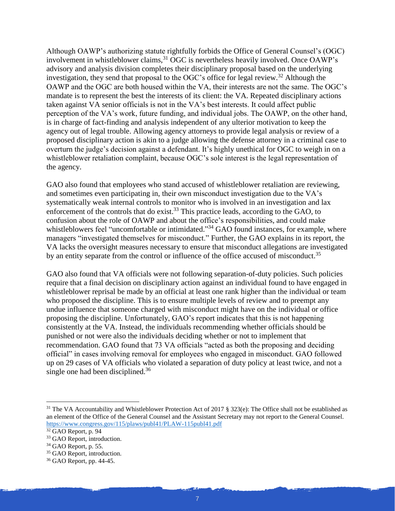Although OAWP's authorizing statute rightfully forbids the Office of General Counsel's (OGC) involvement in whistleblower claims,<sup>31</sup> OGC is nevertheless heavily involved. Once OAWP's advisory and analysis division completes their disciplinary proposal based on the underlying investigation, they send that proposal to the OGC's office for legal review.<sup>32</sup> Although the OAWP and the OGC are both housed within the VA, their interests are not the same. The OGC's mandate is to represent the best the interests of its client: the VA. Repeated disciplinary actions taken against VA senior officials is not in the VA's best interests. It could affect public perception of the VA's work, future funding, and individual jobs. The OAWP, on the other hand, is in charge of fact-finding and analysis independent of any ulterior motivation to keep the agency out of legal trouble. Allowing agency attorneys to provide legal analysis or review of a proposed disciplinary action is akin to a judge allowing the defense attorney in a criminal case to overturn the judge's decision against a defendant. It's highly unethical for OGC to weigh in on a whistleblower retaliation complaint, because OGC's sole interest is the legal representation of the agency.

GAO also found that employees who stand accused of whistleblower retaliation are reviewing, and sometimes even participating in, their own misconduct investigation due to the VA's systematically weak internal controls to monitor who is involved in an investigation and lax enforcement of the controls that do exist.<sup>33</sup> This practice leads, according to the GAO, to confusion about the role of OAWP and about the office's responsibilities, and could make whistleblowers feel "uncomfortable or intimidated."<sup>34</sup> GAO found instances, for example, where managers "investigated themselves for misconduct." Further, the GAO explains in its report, the VA lacks the oversight measures necessary to ensure that misconduct allegations are investigated by an entity separate from the control or influence of the office accused of misconduct.<sup>35</sup>

GAO also found that VA officials were not following separation-of-duty policies. Such policies require that a final decision on disciplinary action against an individual found to have engaged in whistleblower reprisal be made by an official at least one rank higher than the individual or team who proposed the discipline. This is to ensure multiple levels of review and to preempt any undue influence that someone charged with misconduct might have on the individual or office proposing the discipline. Unfortunately, GAO's report indicates that this is not happening consistently at the VA. Instead, the individuals recommending whether officials should be punished or not were also the individuals deciding whether or not to implement that recommendation. GAO found that 73 VA officials "acted as both the proposing and deciding official" in cases involving removal for employees who engaged in misconduct. GAO followed up on 29 cases of VA officials who violated a separation of duty policy at least twice, and not a single one had been disciplined.<sup>36</sup>

<sup>&</sup>lt;sup>31</sup> The VA Accountability and Whistleblower Protection Act of 2017 § 323(e): The Office shall not be established as an element of the Office of the General Counsel and the Assistant Secretary may not report to the General Counsel. <https://www.congress.gov/115/plaws/publ41/PLAW-115publ41.pdf>

<sup>32</sup> GAO Report, p. 94

<sup>&</sup>lt;sup>33</sup> GAO Report, introduction.

 $34$  GAO Report, p. 55.

<sup>&</sup>lt;sup>35</sup> GAO Report, introduction.

<sup>36</sup> GAO Report, pp. 44-45.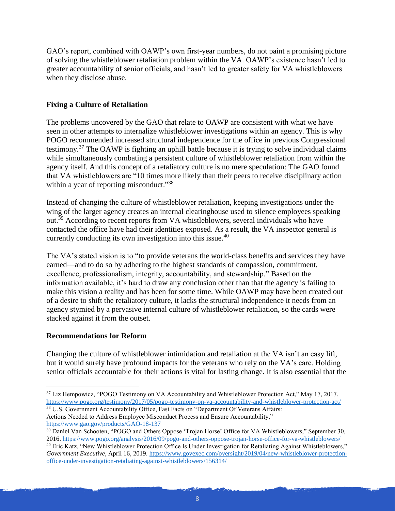GAO's report, combined with OAWP's own first-year numbers, do not paint a promising picture of solving the whistleblower retaliation problem within the VA. OAWP's existence hasn't led to greater accountability of senior officials, and hasn't led to greater safety for VA whistleblowers when they disclose abuse.

# **Fixing a Culture of Retaliation**

The problems uncovered by the GAO that relate to OAWP are consistent with what we have seen in other attempts to internalize whistleblower investigations within an agency. This is why POGO recommended increased structural independence for the office in previous Congressional testimony.<sup>37</sup> The OAWP is fighting an uphill battle because it is trying to solve individual claims while simultaneously combating a persistent culture of whistleblower retaliation from within the agency itself. And this concept of a retaliatory culture is no mere speculation: The GAO found that VA whistleblowers are "10 times more likely than their peers to receive disciplinary action within a year of reporting misconduct."38

Instead of changing the culture of whistleblower retaliation, keeping investigations under the wing of the larger agency creates an internal clearinghouse used to silence employees speaking out.<sup>39</sup> According to recent reports from VA whistleblowers, several individuals who have contacted the office have had their identities exposed. As a result, the VA inspector general is currently conducting its own investigation into this issue.<sup>40</sup>

The VA's stated vision is to "to provide veterans the world-class benefits and services they have earned—and to do so by adhering to the highest standards of compassion, commitment, excellence, professionalism, integrity, accountability, and stewardship." Based on the information available, it's hard to draw any conclusion other than that the agency is failing to make this vision a reality and has been for some time. While OAWP may have been created out of a desire to shift the retaliatory culture, it lacks the structural independence it needs from an agency stymied by a pervasive internal culture of whistleblower retaliation, so the cards were stacked against it from the outset.

#### **Recommendations for Reform**

 $\overline{a}$ 

Changing the culture of whistleblower intimidation and retaliation at the VA isn't an easy lift, but it would surely have profound impacts for the veterans who rely on the VA's care. Holding senior officials accountable for their actions is vital for lasting change. It is also essential that the

<sup>&</sup>lt;sup>37</sup> Liz Hempowicz, "POGO Testimony on VA Accountability and Whistleblower Protection Act," May 17, 2017. <https://www.pogo.org/testimony/2017/05/pogo-testimony-on-va-accountability-and-whistleblower-protection-act/>

<sup>&</sup>lt;sup>38</sup> U.S. Government Accountability Office, Fast Facts on "Department Of Veterans Affairs: Actions Needed to Address Employee Misconduct Process and Ensure Accountability," <https://www.gao.gov/products/GAO-18-137>

<sup>&</sup>lt;sup>39</sup> Daniel Van Schooten, "POGO and Others Oppose 'Trojan Horse' Office for VA Whistleblowers," September 30, 2016.<https://www.pogo.org/analysis/2016/09/pogo-and-others-oppose-trojan-horse-office-for-va-whistleblowers/>

<sup>&</sup>lt;sup>40</sup> Eric Katz, "New Whistleblower Protection Office Is Under Investigation for Retaliating Against Whistleblowers," *Government Executive*, April 16, 2019. [https://www.govexec.com/oversight/2019/04/new-whistleblower-protection](https://www.govexec.com/oversight/2019/04/new-whistleblower-protection-office-under-investigation-retaliating-against-whistleblowers/156314/)[office-under-investigation-retaliating-against-whistleblowers/156314/](https://www.govexec.com/oversight/2019/04/new-whistleblower-protection-office-under-investigation-retaliating-against-whistleblowers/156314/)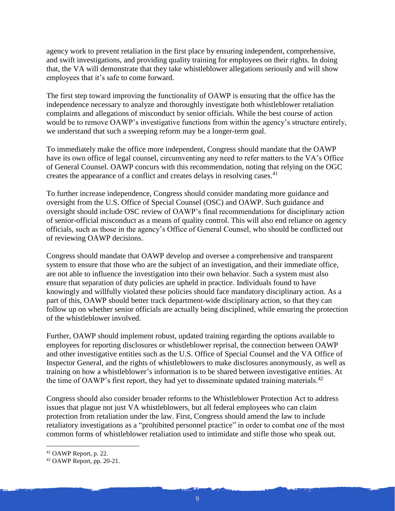agency work to prevent retaliation in the first place by ensuring independent, comprehensive, and swift investigations, and providing quality training for employees on their rights. In doing that, the VA will demonstrate that they take whistleblower allegations seriously and will show employees that it's safe to come forward.

The first step toward improving the functionality of OAWP is ensuring that the office has the independence necessary to analyze and thoroughly investigate both whistleblower retaliation complaints and allegations of misconduct by senior officials. While the best course of action would be to remove OAWP's investigative functions from within the agency's structure entirely, we understand that such a sweeping reform may be a longer-term goal.

To immediately make the office more independent, Congress should mandate that the OAWP have its own office of legal counsel, circumventing any need to refer matters to the VA's Office of General Counsel. OAWP concurs with this recommendation, noting that relying on the OGC creates the appearance of a conflict and creates delays in resolving cases.<sup>41</sup>

To further increase independence, Congress should consider mandating more guidance and oversight from the U.S. Office of Special Counsel (OSC) and OAWP. Such guidance and oversight should include OSC review of OAWP's final recommendations for disciplinary action of senior-official misconduct as a means of quality control. This will also end reliance on agency officials, such as those in the agency's Office of General Counsel, who should be conflicted out of reviewing OAWP decisions.

Congress should mandate that OAWP develop and oversee a comprehensive and transparent system to ensure that those who are the subject of an investigation, and their immediate office, are not able to influence the investigation into their own behavior. Such a system must also ensure that separation of duty policies are upheld in practice. Individuals found to have knowingly and willfully violated these policies should face mandatory disciplinary action. As a part of this, OAWP should better track department-wide disciplinary action, so that they can follow up on whether senior officials are actually being disciplined, while ensuring the protection of the whistleblower involved.

Further, OAWP should implement robust, updated training regarding the options available to employees for reporting disclosures or whistleblower reprisal, the connection between OAWP and other investigative entities such as the U.S. Office of Special Counsel and the VA Office of Inspector General, and the rights of whistleblowers to make disclosures anonymously, as well as training on how a whistleblower's information is to be shared between investigative entities. At the time of OAWP's first report, they had yet to disseminate updated training materials.<sup>42</sup>

Congress should also consider broader reforms to the Whistleblower Protection Act to address issues that plague not just VA whistleblowers, but all federal employees who can claim protection from retaliation under the law. First, Congress should amend the law to include retaliatory investigations as a "prohibited personnel practice" in order to combat one of the most common forms of whistleblower retaliation used to intimidate and stifle those who speak out.

<sup>41</sup> OAWP Report, p. 22.

<sup>42</sup> OAWP Report, pp. 20-21.